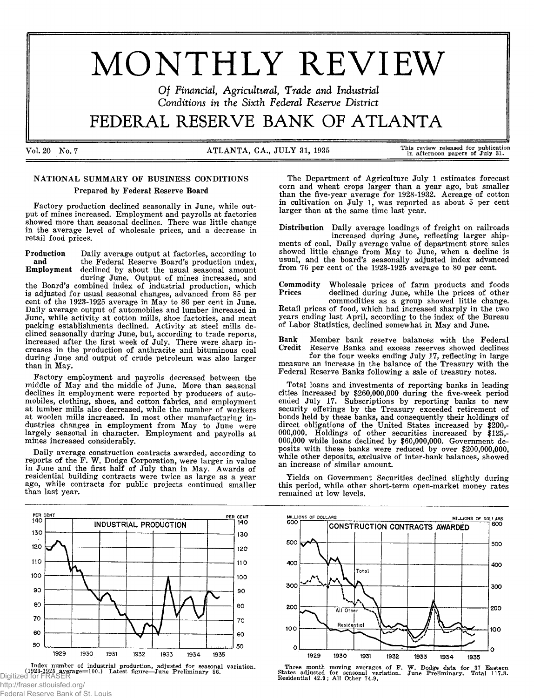# MONTHLY REVIEW

*O f Financial, Agricultural, Trade and Industrial Conditions in the Sixth Federal Reserve District*

# FEDER AL RESERVE BANK OF ATLANTA

Vol. 20 No. 7 ATLANTA, GA., JULY 31, 1935 This review released for publication in afternoon papers of July 31.

## NATIONAL SUMMARY OF BUSINESS CONDITIONS Prepared by Federal Reserve Board

Factory production declined seasonally in June, while output of mines increased. Employment and payrolls at factories showed more than seasonal declines. There was little change in the average level of wholesale prices, and a decrease in retail food prices.

Production Daily average output at factories, according to and the Federal Reserve Board's production index,<br>Employment declined by about the usual seasonal amount declined by about the usual seasonal amount

during June. Output of mines increased, and the Board's combined index of industrial production, which is adjusted for usual seasonal changes, advanced from 85 per cent of the 1923-1925 average in May to 86 per cent in June. Daily average output of automobiles and lumber increased in June, while activity at cotton mills, shoe factories, and meat packing establishments declined. Activity at steel mills declined seasonally during June, but, according to trade reporcs, increased after the first week of July. There were sharp increases in the production of anthracite and bituminous coal during June and output of crude petroleum was also larger than in May.

Factory employment and payrolls decreased between the middle of May and the middle of June. More than seasonal declines in employment were reported by producers of automobiles, clothing, shoes, and cotton fabrics, and employment at lumber mills also decreased, while the number of workers at woolen mills increased. In most other manufacturing industries changes in employment from May to June were largely seasonal in character. Employment and payrolls at mines increased considerably.

Daily average construction contracts awarded, according to reports of the F. W. Dodge Corporation, were larger in value in June and the first half of July than in May. Awards of residential building contracts were twice as large as a year ago, while contracts for public projects continued smaller than last year.



Index number of industrial production, adjusted for seasonal variation<br>(**1923-1925 average=100.)** Latest figure—June Preliminary 86.<br>Digitized for FRASER

http://fraser.stlouisfed.org/ Federal Reserve Bank of St. Louis

The Department of Agriculture July 1 estimates forecast corn and wheat crops larger than a year ago, but smaller than the five-year average for 1928-1932. Acreage of cotton in cultivation on July 1, was reported as about 5 per cent larger than at the same time last year.

Distribution Daily average loadings of freight on railroads increased during June, reflecting larger shipments of coal. Daily average value of department store sales showed little change from May to June, when a decline is usual, and the board's seasonally adjusted index advanced from 76 per cent of the 1923-1925 average to 80 per cent.

Commodity Wholesale prices of farm products and foods declined during June, while the prices of other commodities as a group showed little change. Retail prices of food, which had increased sharply in the two years ending last April, according to the index of the Bureau of Labor Statistics, declined somewhat in May and June.

Bank Member bank reserve balances with the Federal Reserve Banks and excess reserves showed declines

for the four weeks ending July 17, reflecting in large measure an increase in the balance of the Treasury with the Federal Reserve Banks following a sale of treasury notes.

Total loans and investments of reporting banks in leading cities increased by \$260,000,000 during the five-week period ended July 17. Subscriptions by reporting banks to new security offerings by the Treasury exceeded retirement of bonds held by these banks, and consequently their holdings of direct obligations of the United States increased by \$200,- 000,000. Holdings of other securities increased by \$125,- 000,000 while loans declined by \$60,000,000. Government deposits with these banks were reduced by over \$200,000,000, while other deposits, exclusive of inter-bank balances, showed an increase of similar amount.

Yields on Government Securities declined slightly during this period, while other short-term open-market money rates remained at low levels.



Three month moving averages of F. W. Dodge data for 37 Eastern States adjusted for seasonal variation. June Prelim inary. Total 117.8. Residential 42.9; All Other 74.9.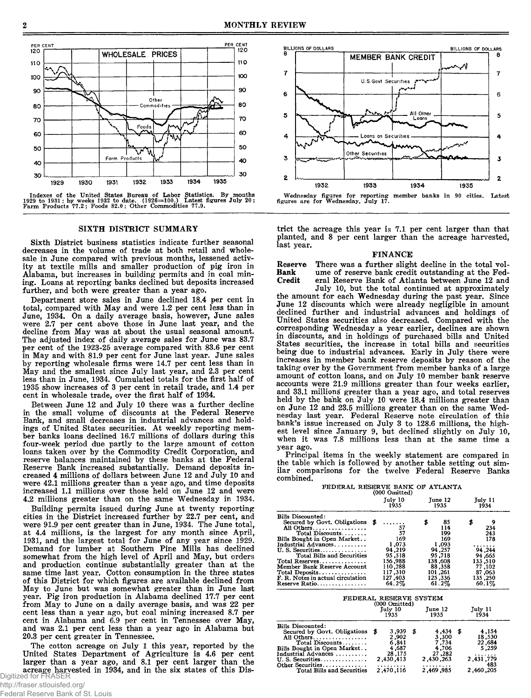

Indexes of the United States Bureau of Labor Statistics. By months<br>1929 to 1931; by weeks 1932 to date. (1926—100.) Latest figures July 20;<br>Farm Products 77.2; Foods 82.0; Other Commodities 77.9.

#### SIXTH DISTRICT SUMMARY

Sixth District business statistics indicate further seasonal decreases in the volume of trade at both retail and wholesale in June compared with previous months, lessened activity at textile mills and smaller production of pig iron in Alabama, but increases in building permits and in coal mining. Loans at reporting banks declined but deposits increased further, and both were greater than a year ago.

Department store sales in June declined 18.4 per cent in total, compared with May and were 1.2 per cent less than in June, 1934. On a daily average basis, however, June sales were 2.7 per cent above those in June last year, and the decline from May was at about the usual seasonal amount. The adjusted index of daily average sales for June was 83.7 per cent of the 1923-25 average compared with 83.6 per cent in May and with 81.9 per cent for June last year. June sales by reporting wholesale firms were 14.7 per cent less than in May and the smallest since July last year, and 2.3 per cent less than in June, 1934. Cumulated totals for the first half of 1935 show increases of 3 per cent in retail trade, and 1.4 per cent in wholesale trade, over the first half of 1934.

Between June 12 and July 10 there was a further decline in the small volume of discounts at the Federal Reserve Bank, and small decreases in industrial advances and holdings of United States securities. At weekly reporting member banks loans declined 16.7 millions of dollars during this four-week period due partly to the large amount of cotton loans taken over by the Commodity Credit Corporation, and reserve balances maintained by these banks at the Federal Reserve Bank increased substantially. Demand deposits increased 4 millions of dollars between June 12 and July 10 and were 42.1 millions greater than a year ago, and time deposits increased 1.1 millions over those held on June 12 and were 4.2 millions greater than on the same Wednesday in 1934.

Building permits issued during June at twenty reporting cities in the District increased further by 22.7 per cent, and were 91.9 per cent greater than in June, 1934. The June total, at 4.4 millions, is the largest for any month since April, 1931, and the largest total for June of any year since 1929. Demand for lumber at Southern Pine Mills has declined somewhat from the high level of April and May, but orders and production continue substantially greater than at the same time last year. Cotton consumption in the three states of this District for which figures are available declined from May to June but was somewhat greater than in June last year. Pig iron production in Alabama declined 17.7 per cent from May to June on a daily average basis, and was 22 per cent less than a year ago, but coal mining increased 8.7 per cent in Alabama and  $6.9$  per cent in Tennessee over May, and was 2.1 per cent less than a year ago in Alabama but 20.3 per cent greater in Tennessee.

The cotton acreage on July 1 this year, reported by the United States Department of Agriculture is 4.6 per cent larger than a year ago, and 8.1 per cent larger than the acreage harvested in 1934, and in the six states of this Dis-Digitized for FRASER



trict the acreage this year is 7.1 per cent larger than that planted, and 8 per cent larger than the acreage harvested, last year.

#### FINANCE

Reserve There was a further slight decline in the total vol-<br>Bank ume of reserve bank credit outstanding at the Fed-Bank ume of reserve bank credit outstanding at the Federal Reserve Bank of Atlanta between June 12 and

July 10, but the total continued at approximately the amount for each Wednesday during the past year. Since June 12 discounts which were already negligible in amount declined further and industrial advances and holdings of United States securities also decreased. Compared with the corresponding Wednesday a year earlier, declines are shown in discounts, and in holdings of purchased bills and United States securities, the increase in total bills and securities being due to industrial advances. Early in July there were increases in member bank reserve deposits by reason of the taking over by the Government from member banks of a large amount of cotton loans, and on July 10 member bank reserve accounts were 21.9 millions greater than four weeks earlier, and 33.1 millions greater than a year ago, and total reserves held by the bank on July 10 were 18.4 millions greater than on June 12 and 23.5 millions greater than on the same Wednesday last year. Federal Reserve note circulation of this bank's issue increased on July 3 to 128.6 millions, the highest level since January 9, but declined slightly on July 10, when it was 7.8 millions less than at the same time a year ago.

Principal items in the weekly statement are compared in the table which is followed by another table setting out similar comparisons for the twelve Federal Reserve Banks combined.

FEDERAL RESERVE BANK OF ATLANTA (000 Omitted)

|                                                  |   | July 10<br>1935                                            | June 12<br>1935 |   | July 11<br>1934 |                 |
|--------------------------------------------------|---|------------------------------------------------------------|-----------------|---|-----------------|-----------------|
| <b>Bills Discounted:</b>                         |   |                                                            |                 |   |                 |                 |
| Secured by Govt. Obligations                     | ж |                                                            | \$<br>85        |   | \$              | 9               |
| All Others                                       |   | 57                                                         | 114             |   |                 | 234             |
| Total Discounts                                  |   | 57                                                         | 199             |   |                 | 243             |
| Bills Bought in Open Market                      |   | 169                                                        | 169             |   |                 | 178             |
| Industrial Advances                              |   | 1,073                                                      | 1,093           |   |                 | .               |
| U.S. Securities                                  |   | 94 ,219                                                    | 94,257          |   |                 | 244, 94         |
| Total Bills and Securities                       |   | 95,518                                                     | 95,718          |   |                 | 94,665          |
| Total Reserves                                   |   | 156,988                                                    | 138,608         |   |                 | 133,510         |
| Member Bank Reserve Account                      |   | 110,288                                                    | 88,358          |   |                 | 77,102          |
| $Total \: Deposits. \ldots \ldots \ldots \ldots$ |   | 117,310                                                    | 101.261         |   |                 | 87,063          |
| F. R. Notes in actual circulation                |   | 127,403                                                    | 125,336         |   |                 | 135,250         |
| Reserve Ratio                                    |   | 64.2%                                                      | $61.2\%$        |   |                 | 60.1%           |
|                                                  |   | FEDERAL RESERVE SYSTEM<br>(000 Omitted)<br>July 10<br>1935 | Tune 12<br>1935 |   |                 | July 11<br>1934 |
| <b>Bills Discounted:</b>                         |   |                                                            |                 |   |                 |                 |
| Secured by Govt. Obligations                     | S | 3,939                                                      | \$<br>4,434     | £ |                 | 4,154           |
| All Others                                       |   | 2,902                                                      | 3,300           |   |                 | 18,530          |
| Total Discounts                                  |   | 6,841                                                      | 7,734           |   |                 | 22,684          |
| Bills Bought in Open Market                      |   | 4,687                                                      | 4,706           |   |                 | 5,259           |
| Industrial Advances                              |   | 28,175                                                     | 27 .282         |   |                 | .               |
| U. S. Securities                                 |   | 2,430,413                                                  | 2,430,263       |   |                 | 2,431,779       |
| Other Securities                                 |   |                                                            |                 |   |                 | 483             |
| Total Bills and Securities                       |   | 2 ,470 ,116                                                | 2,469,985       |   |                 | 2,460,205       |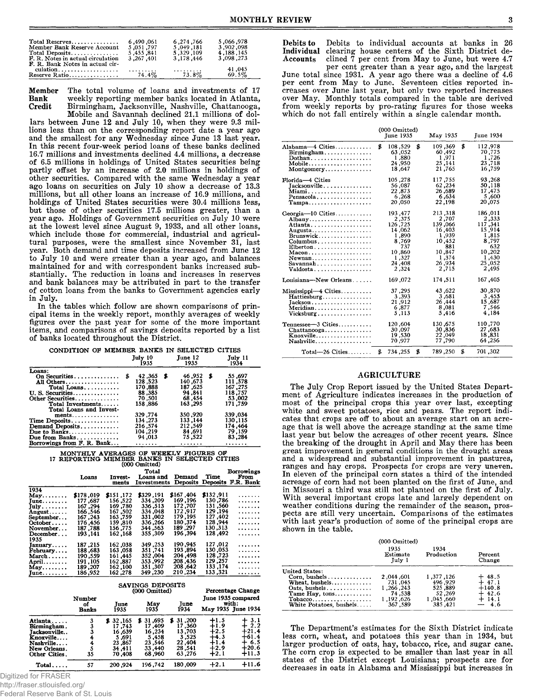| Total Reserves                                               | 6.490.061                       | 6,274,766  | 5.066.978       |
|--------------------------------------------------------------|---------------------------------|------------|-----------------|
| Member Bank Reserve Account                                  | 5.051.797                       | 5.049.181  | 3.902.098       |
| Total Deposits                                               | 5.455.841                       | 5,329,109  | 4, 188, 145     |
| F. R. Notes in actual circulation                            | 3,267,401                       | 3.178.446  | 3,098,273       |
| F. R. Bank Notes in actual cir-<br>culation<br>Reserve Ratio | 1.1.1.1.1.1.1.1.1.1<br>$74.4\%$ | .<br>73.8% | 41,045<br>69.5% |

Member The total volume of loans and investments of 17<br>Bank weekly reporting member banks located in Atlanta, Bank weekly reporting member banks located in Atlanta, Birmingham, Jacksonville, Nashville, Chattanooga, Mobile and Savannah declined 21.1 millions of dol-

lars between June 12 and July 10, when they were 9.3 millions less than on the corresponding report date a year ago and the smallest for any Wednesday since June 13 last year. In this recent four-week period loans of these banks declined 16.7 millions and investments declined 4.4 millions, a decrease of 6.5 millions in holdings of United States securities being partly offset by an increase of 2.0 millions in holdings of other securities. Compared with the same Wednesday a year ago loans on securities on July 10 show a decrease of 13.3 millions, but all other loans an increase of 16.9 millions, and holdings of United States securities were 30.4 millions less, but those of other securities 17.5 millions greater, than a year ago. Holdings of Government securities on July 10 were at the lowest level since August 9, 1933, and all other loans, which include those for commercial, industrial and agricultural purposes, were the smallest since November 31, last year. Both demand and time deposits increased from June 12 to July 10 and were greater than a year ago, and balances maintained for and with correspondent banks increased substantially. The reduction in loans and increases in reserves and bank balances may be attributed in part to the transfer of cotton loans from the banks to Government agencies early in July.

In the tables which follow are shown comparisons of principal items in the weekly report, monthly averages of weekly figures over the past year for some of the more important items, and comparisons of savings deposits reported by a list of banks located throughout the District.

| CONDITION OF MEMBER BANKS IN SELECTED CITIES |   | Tuly 10 |     | June 12 | July 11      |
|----------------------------------------------|---|---------|-----|---------|--------------|
|                                              |   | 1935    |     | 1935    | 1934         |
| Loans:                                       |   |         |     |         |              |
| On Securities                                | S | 42.365  | - 3 | 46,952  | \$<br>55,697 |
| All Others                                   |   | 128.523 |     | 140.673 | 111.578      |
| Total Loans                                  |   | 170,888 |     | 187.625 | 167,275      |
| $U. S.$ Securities                           |   | 88,385  |     | 94,841  | 118,757      |
| Other Securities                             |   | 70,501  |     | 68.454  | 53,002       |
| Total Investments                            |   | 158.886 |     | 163,295 | 171.759      |
| Total Loans and Invest-                      |   |         |     |         |              |
| $ments \ldots \ldots \ldots \ldots$          |   | 329,774 |     | 350,920 | 339,034      |
| Time Deposits                                |   | 134.273 |     | 133.144 | 130,115      |
| Demand Deposits                              |   | 216.574 |     | 212,549 | 174.464      |
| Due to Banks                                 |   | 104.219 |     | 84,691  | 79,159       |
| Due from Banks                               |   | 94,013  |     | 75.522  | 83,284       |
| Borrowings from F. R. Bank                   |   | .       |     | .       | .            |

# MONTHLY AVERAGES OF WEEKLY FIGURES OF 17 REPORTING MEMBER BANKS IN SELECTED CITIES (000 Omitted)

|                      | Loans                 | Invest-<br>ments                             | Total<br>Loans and<br>Investments | Demand<br><b>Deposits</b> | Time      | Borrowings<br>From<br>Deposits F.R. Bank          |  |
|----------------------|-----------------------|----------------------------------------------|-----------------------------------|---------------------------|-----------|---------------------------------------------------|--|
| 1934                 |                       |                                              |                                   |                           |           |                                                   |  |
| May                  | \$178.019             | \$151,172                                    | \$329.191                         | \$167.404                 | \$132,911 | .                                                 |  |
| $June \ldots \ldots$ | 177,687               | 156,522                                      | 334,209                           | 169.196                   | 130,786   | .                                                 |  |
| $July \dots \dots$   | 167.294               | 169,780                                      | 336.513                           | 172,707                   | 131.560   | .                                                 |  |
| August               | 166,546               | 167.502                                      | 334 .048                          | 172,917                   | 129,194   | .                                                 |  |
| September            | 167,243               | 163,759                                      | 331,002                           | 179.195                   | 127.402   | .                                                 |  |
| $October \dots$ .    | 176.456               | 159,810                                      | 336,266                           | 180.374                   | 128.944   | .                                                 |  |
| November             | 187,788               | 156,775                                      | 344 .563                          | 189,297                   | 130 .313  | .                                                 |  |
| December             | 193.141               | 162.168                                      | 355.309                           | 196.394                   | 128.492   | .                                                 |  |
| 1935                 |                       |                                              |                                   |                           |           |                                                   |  |
| January              | 187.215               | 162 ,038                                     | 349.253                           | 190,945                   | 127 ,012  | .                                                 |  |
| February             | 188,683               | 163 .058                                     | 351,741                           | 193,894                   | 130,053   | .                                                 |  |
| $March$              | 190.559               | 161,445                                      | 352,004                           | 204,498                   | 128,723   | .                                                 |  |
| April. $\dots$ .     | 191.105               | 162.887                                      | 353,992                           | 208,436                   | 129,257   | .                                                 |  |
| May                  | 189,207               | 162.100                                      | 351.307                           | 208.642                   | 133.174   | . . <i>.</i>                                      |  |
| June                 | 186,952               | 162 .278                                     | 349.230                           | 210.234                   | 133.321   | .                                                 |  |
|                      |                       | SAVINGS DEPOSITS<br><b>Percentage Change</b> |                                   |                           |           |                                                   |  |
|                      |                       | (000 Omitted)                                |                                   |                           |           |                                                   |  |
|                      | Number<br>of<br>Banks | June<br>1935                                 | May<br>1935                       | June<br>1934              |           | June 1935 compared<br>with:<br>May 1935 June 1934 |  |

|                     | лишра<br>of<br><b>Banks</b> | Tune<br>1935 | May<br>1935 | Tune<br>1934 |        | THEY TANG COMPOSED<br>with:<br>May 1935 June 1934 |
|---------------------|-----------------------------|--------------|-------------|--------------|--------|---------------------------------------------------|
| Atlanta             |                             | \$32,165     | \$ 31,695   | \$31,200     | $+1.5$ | 3.1                                               |
| Birmingham.         |                             | 17.743       | 17.409      | 17.360       | +1.9   | 2.2                                               |
| <b>Jacksonville</b> |                             | 16.639       | 16,234      | 13,703       | +2.5   | +21.4                                             |
| Knoxville           |                             | 5.691        | 5,458       | 3.525        | $+4.3$ | +61.4                                             |
| Nashville           |                             | 23,867       | 23,546      | 22,404       | +1.4   | 6.5                                               |
| New Orleans.        |                             | 34.411       | 33,440      | 28.541       | $+2.9$ | +20.6                                             |
| Other Cities.       | 35                          | 70.408       | 68,960      | 63.276       | $+2.1$ | $+11.3$                                           |
| Total.              | 57                          | 200,924      | 196,742     | 180.009      | $+2.1$ | $+11.6$                                           |

Digitized for FRASER

http://fraser.stlouisfed.org/ Federal Reserve Bank of St. Louis Debits to Debits to individual accounts at banks in 26 Individual clearing house centers of the Sixth District de-Individual clearing house centers of the Sixth District declined  $\tilde{7}$  per cent from May to June, but were 4.7

per cent greater than a year ago, and the largest June total since 1931. A year ago there was a decline of 4.6 per cent from May to June. Seventeen cities reported increases over June last year, but only two reported increases over May. Monthly totals compared in the table are derived from weekly reports by pro-rating figures for those weeks which do not fall entirely within a single calendar month.

|                                                                                                                                                 | (000 Omitted)<br><b>Tune 1935</b>                                                                    | May 1935                                                                                              | <b>June 1934</b>                                                                                     |
|-------------------------------------------------------------------------------------------------------------------------------------------------|------------------------------------------------------------------------------------------------------|-------------------------------------------------------------------------------------------------------|------------------------------------------------------------------------------------------------------|
| Alabama—4 Cities<br>Birmingham<br>Dothan<br>Mobile                                                                                              | \$<br>108,529<br>63,052<br>1,880<br>24,950<br>18.647                                                 | \$<br>109,369<br>60.492<br>1,971<br>25,141<br>21,765                                                  | \$<br>112,978<br>70,775<br>1,726<br>23,718<br>16,759                                                 |
| Florida-4 Cities<br>$Iacksonville \ldots \ldots \ldots$<br>Miami<br>Pensacola<br>$Tampa \ldots \ldots \ldots \ldots \ldots$                     | 105.278<br>56,087<br>22,873<br>6,268<br>20,050                                                       | 117,755<br>62.234<br>26,689<br>6,634<br>22,198                                                        | 93,268<br>50,118<br>17,475<br>5,600<br>20,075                                                        |
| Georgia- $10$ Cities<br>Albany<br>Augusta<br>$Columbus$ ,<br>$E$ lberton<br>Newnan<br>$Savannah \ldots \ldots \ldots \ldots \ldots$<br>Valdosta | 193,477<br>2,375<br>126,725<br>14,062<br>1,890<br>8.769<br>737<br>10,860<br>1,327<br>24.408<br>2.324 | 213,318<br>2,707<br>139,066<br>16,403<br>1,939<br>10,452<br>881<br>10.847<br>1,374<br>26,934<br>2.715 | 186,011<br>2,333<br>117,341<br>15,914<br>1,815<br>8,797<br>632<br>10,202<br>1,430<br>25,052<br>2.495 |
| Louisiana-New Orleans<br>$Mississippi-4$ Cities<br>$Hattiesburg, \ldots, \ldots, \ldots, \ldots$                                                | 169,072<br>37,295<br>3,393                                                                           | 174.511<br>43,622<br>3,681                                                                            | 167,405<br>30,870<br>3,453                                                                           |
| $Jackson \ldots \ldots \ldots \ldots \ldots$<br>Meridian.<br>$Vicksburg \dots \dots \dots \dots \dots \dots$                                    | 21,912<br>6,877<br>5.113                                                                             | 26,444<br>8.081<br>5.416                                                                              | 15,687<br>7,546<br>4.184                                                                             |
| $T$ ennessee $-3$ Cities<br>$Chattanooga$<br>Knoxville<br>Nashville                                                                             | 120,604<br>30,097<br>19,530<br>70,977                                                                | 130.675<br>30,836<br>22,049<br>77,790                                                                 | 110,770<br>27,683<br>18,831<br>64,256                                                                |
| Total—26 Cities                                                                                                                                 | \$<br>734,255                                                                                        | \$<br>789,250                                                                                         | \$<br>701,302                                                                                        |

#### AGRICULTURE

The July Crop Report issued by the United States Department of Agriculture indicates increases in the production of most of the principal crops this year over last, excepting white and sweet potatoes, rice and pears. The report indicates that crops are off to about an average start on an acreage that is well above the acreage standing at the same time last year but below the acreages of other recent years. Since the breaking of the drought in April and May there has been great improvement in general conditions in the drought areas and a widespread and substantial improvement in pastures, ranges and hay crops. Prospects for crops are very uneven. In eleven of the principal corn states a third of the intended acreage of com had not been planted on the first of June, and in Missouri a third was still not planted on the first of July. With several important crops late and largely dependent on weather conditions during the remainder of the season, prospects are still very uncertain. Comparisons of the estimates with last year's production of some of the principal crops are shown in the table.

|                                                                                                                                                          | (000 Omitted)<br>1935<br>Estimate<br>$\text{July } 1$               | 1934<br>Production                                                | Percent<br>Change                                              |
|----------------------------------------------------------------------------------------------------------------------------------------------------------|---------------------------------------------------------------------|-------------------------------------------------------------------|----------------------------------------------------------------|
| <b>United States:</b><br>Corn, bushels $\dots\dots\dots\dots$<br>Wheat, bushels<br>Oats, bushels<br>Tame Hay, tons<br>Tobacco<br>White Potatoes, bushels | 2,044,601<br>731.045<br>1,266,243<br>74,538<br>1,192,626<br>367,589 | 1,377,126<br>496.929<br>525,889<br>52,269<br>1,045,660<br>385.421 | $+48.5$<br>$+47.1$<br>$+140.8$<br>$+42.6$<br>$+14.1$<br>$-4.6$ |

The Department's estimates for the Sixth District indicate less corn, wheat, and potatoes this year than in 1934, but larger production of oats, hay, tobacco, rice, and sugar cane. The corn crop is expected to be smaller than last year in all states of the District except Louisiana; prospects are for decreases in oats in Alabama and Mississippi but increases in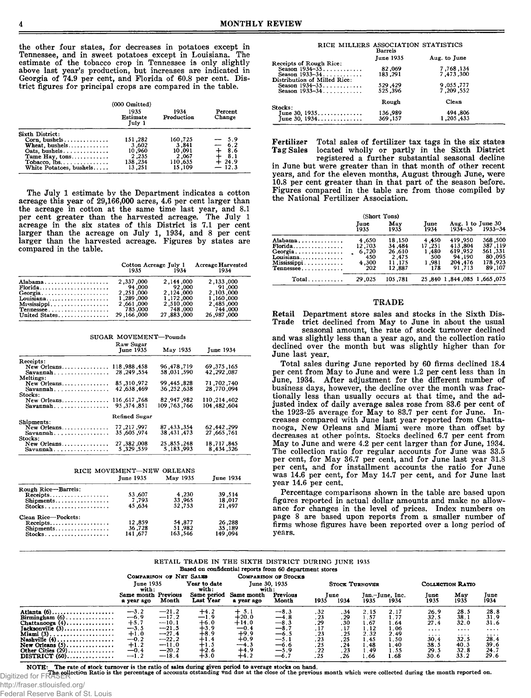the other four states, for decreases in potatoes except in Tennessee, and in sweet potatoes except in Louisiana. The estimate of the tobacco crop in Tennessee is only slightly above last year's production, but increases are indicated in Georgia of 74.9 per cent, and Florida of 60.8 per cent. District figures for principal crops are compared in the table.

|                         | $(000 \text{ Omitted})$<br>1935<br><b>Estimate</b><br>Tuly 1 | 1934<br>Production | Percent<br>Change |
|-------------------------|--------------------------------------------------------------|--------------------|-------------------|
| Sixth District:         |                                                              |                    |                   |
| Corn. bushels           | 151.282                                                      | 160,725            | $-5.9$            |
| Wheat, bushels          | 3.602                                                        | 3.841              | $-6.2$            |
| Oats, bushels           | 10,960                                                       | 10,091             | $+8.6$            |
| Tame Hay, tons          | 2,235                                                        | 2.067              | 8.1               |
| Tobacco, lbs.           | 138,234                                                      | 110,635            | $+24.9$           |
| White Potatoes, bushels | 13.251                                                       | 15,109             | $-12.3$           |

The July 1 estimate by the Department indicates a cotton acreage this year of 29,166,000 acres, 4.6 per cent larger than the acreage in cotton at the same time last year, and 8.1 per cent greater than the harvested acreage. The July 1 acreage in the six states of this District is 7.1 per cent larger than the acreage on July 1, 1934, and 8 per cent larger than the harvested acreage. Figures by states are compared in the table.

|               | Cotton Acreage July 1<br>1935 | 1934       | <b>Acreage Harvested</b><br>1934 |
|---------------|-------------------------------|------------|----------------------------------|
| Alabama       | 2.337.000                     | 2.144.000  | 2,133,000                        |
|               | 94.000                        | 92.000     | 91.000                           |
| Georgia       | 2.251.000                     | 2.124.000  | 2.103.000                        |
| Louisiana     | 1,289,000                     | 1,172,000  | 1,160,000                        |
| Mississippi   | 2,661,000                     | 2.510.000  | 2.485.000                        |
| $T$ ennessee  | 785,000                       | 748,000    | 744,000                          |
| United States | 29.166.000                    | 27,883,000 | 26,987,000                       |

SUGAR MOVEMENT—Pounds Raw Sugar June 1935 May 1935 June 1934 Receipts: New Orleans............. ............ 118,988,458 96 ,478,719 69 ,375 ,165 Savannah................... ............ 28 ,249 ,554 58 ,031 ,590 42 ,292 ,087 Meltings: New Orleans.............. ............ 85,310,972 99 ,445 ,828 71 ,702,740  $Savannah. \dots \dots \dots \dots \dots$ Stocks: New Orleans.............. ............ 116,617,768 82 ,947 ,982 110,214,402 Savannah................... ............ 95,374,851 109 ,763 ,766 104 ,482 ,604 Refined Sugar Shipments: New Orleans.............. ............ 77 ,217 ,997 87 ,433 ,354 62 ,442 ,299 Savannah................... ............ 35 ,605 ,974 38 ,431 ,473 27 ,665 ,761 Stocks: New Orleans.............. ............ 27 ,382 ,008 25 ,855 ,248 18,717,845 Savannah................... ............ 5 ,329 ,559 5,183 ,993 8 ,434 ,326

| RICE MOVEMENT-NEW ORLEANS |                  |          |                  |  |  |
|---------------------------|------------------|----------|------------------|--|--|
|                           | <b>June 1935</b> | May 1935 | <b>June 1934</b> |  |  |
| Rough Rice-Barrels:       |                  |          |                  |  |  |
| Receipts                  | 53,607           | 4,230    | 39.514           |  |  |
| Shipments                 | 7.793            | 33,965   | 18,017           |  |  |
|                           | 45.634           | 52,753   | 21.497           |  |  |
| Clean Rice-Pockets:       |                  |          |                  |  |  |
| Receipts                  | 12,859           | 54,877   | 26,288           |  |  |
| Shipments                 | 36,728           | 51,982   | 35,189           |  |  |
|                           | 141.677          | 163,546  | 149.094          |  |  |

| RICE MILLERS ASSOCIATION STATISTICS | Barrels          |              |
|-------------------------------------|------------------|--------------|
|                                     | <b>June 1935</b> | Aug. to June |
| Receipts of Rough Rice:             |                  |              |
| Season 1934-35                      | 82,069           | 7,768,134    |
| Season 1933-34                      | 183,291          | 7,473,300    |
| Distribution of Milled Rice:        |                  |              |
| Season 1934-35                      | 529,429          | 9,055,777    |
| Season 1933-34                      | 525,396          | 7.209.552    |
|                                     | Rough            | Clean        |
| Stocks:                             |                  |              |
|                                     | 136,989          | 494,806      |
| June 30, 1935<br>June 30, 1934      | 369,157          | 1,205,433    |

Fertilizer Total sales of fertilizer tax tags in the six states<br>Tag Sales located wholly or partly in the Sixth District located wholly or partly in the Sixth District

registered a further substantial seasonal decline in June but were greater than in that month of other recent years, and for the eleven months, August through June, were 10.8 per cent greater than in that part of the season before. Figures compared in the table are from those compiled by the National Fertilizer Association.

|                                                                          | <b>Tune</b><br>1935                             | May<br>1935                                             | Tune<br>1934                                    | $1934 - 35$                                                  | Aug. 1 to June 30<br>$1933 - 34$                             |
|--------------------------------------------------------------------------|-------------------------------------------------|---------------------------------------------------------|-------------------------------------------------|--------------------------------------------------------------|--------------------------------------------------------------|
| Alabama<br>$Florida$<br>Georgia<br>Louisiana<br>Mississippi<br>Tennessee | 4,650<br>12.703<br>6,720<br>450<br>4.300<br>202 | 18.150<br>34,484<br>26,610<br>2.475<br>11.175<br>12.887 | 4,450<br>17,251<br>1.480<br>500<br>1.981<br>178 | 419,950<br>413,804<br>619.952<br>94.190<br>204,476<br>91.713 | 368,500<br>387,119<br>561.331<br>80.095<br>178.923<br>89,107 |
| Total                                                                    | 29.025                                          | 105.781                                                 |                                                 | 25,840 1,844,085 1,665 075                                   |                                                              |

#### TRADE

Retail Department store sales and stocks in the Sixth District declined from May to June in about the usual

seasonal amount, the rate of stock turnover declined and was slightly less than a year ago, and the collection ratio declined over the month but was slightly higher than for June last year.

Total sales during June reported by 60 firms declined 18.4 per cent from May to June and were 1.2 per cent less than in June, 1934. After adjustment for the different number of business days, however, the decline over the month was fractionally less than usually occurs at that time, and the adjusted index of daily average sales rose from 83.6 per cent of the 1923-25 average for May to 83.7 per cent for June. Increases compared with June last year reported from Chattanooga, New Orleans and Miami were more than offset by decreases at other points. Stocks declined 6.7 per cent from May to June and were 4.2 per cent larger than for June, 1934. The collection ratio for regular accounts for June was 33.5 per cent, for May 36.7 per cent, and for June last year 31.8 per cent, and for installment accounts the ratio for June was 14.6 per cent, for May 14.7 per cent, and for June last year 14.6 per cent.

Percentage comparisons shown in the table are based upon figures reported in actual dollar amounts and make no allowance for changes in the level of prices. Index numbers on page 8 are based upon reports from a smaller number of firms whose figures have been reported over a long period of years.

| RETAIL TRADE IN THE SIXTH DISTRICT DURING JUNE 1935 |  |  |  |  |  |  |  |  |  |
|-----------------------------------------------------|--|--|--|--|--|--|--|--|--|
|-----------------------------------------------------|--|--|--|--|--|--|--|--|--|

Based on confidential reports from 60 department stores

|                                                 |                                   | COMPARISON OF NET SALES |                          |                          | <b>COMPARISON OF STOCKS</b> |      |                       |      |                         |                  |             |              |
|-------------------------------------------------|-----------------------------------|-------------------------|--------------------------|--------------------------|-----------------------------|------|-----------------------|------|-------------------------|------------------|-------------|--------------|
|                                                 | <b>June 1935</b><br>with:         |                         | Year to date<br>with:    |                          | June 30, 1935<br>with:      |      | <b>STOCK TURNOVER</b> |      |                         | COLLECTION RATIO |             |              |
|                                                 | Same month Previous<br>a year ago | Month                   | Same period<br>Last Year | Same month<br>a year ago | Previous<br>Month           | 1935 | Tune<br>1934          | 1935 | Jan.-June, Inc.<br>1934 | June<br>1935     | May<br>1935 | June<br>1934 |
| Atlanta $(6)$                                   | $-3.2$                            | $-21.2$                 | $+4.2$                   | $+ 5.1$                  | $-8.3$                      | .32  | .34                   | 2.15 | 2.17                    | 26.9             | 28.5        | 28.8         |
| Birmingham $(6)$                                | $-6.9$                            | $-17.2$                 | $-1.9$                   | $+20.0$                  | $-4.8$                      | .23  | .29                   | .57  | 1.77                    | 32.5             | 38.1        | 31.9         |
| Chattanooga $(4)$                               | $+5.7$                            | $-10.1$                 | $+6.0$                   | $+14.0$                  | $-8.3$                      | .29  | .30                   | 1.67 | 1.64                    | 27.4             | 32.0        | 31.6         |
| $Jacksonville(3) \dots \dots \dots \dots \dots$ | $-3.5$                            | $-21.5$                 | $+3.9$                   | $-0.4$                   | $-8.7$                      | . 17 |                       | 1.12 | 1.06                    | 1.1.1.1          |             | $\cdots$     |
|                                                 | $+1.0$                            | $-27.4$                 | ∔8.9                     | $+9.9$                   | $-6.5$                      | .23  | .25                   | 2.32 | 2.49                    | .                | $\cdots$    |              |
| Nashville $(4)$                                 | $-0.2$                            | $-22.2$                 | $+1.4$                   | $+0.9$                   | $-5.1$                      | .23  | .25                   | 1.45 | 1.50                    | 30.4             | 32.5        | 28.4         |
| $New Orleans (5) \ldots \ldots \ldots \ldots$   |                                   | $-11.0$                 | $+1.5$                   | $-4.3$                   | $-6.6$                      | .25  | .24                   | . 48 | 1.40                    | 38.5             | 40.3        | 39.6         |
| Other Cities $(29)$                             | $\pm 1.2$<br>-0.4                 | $-20.2$                 | $+2.6$                   | $+4.9$                   | $-5.9$                      | .22  | .23                   | 1.49 | 1.55                    | 29.5             | 32.8        | 24.7         |
| $DISTRICT (60) \dots \dots \dots \dots$         | $-1.2$                            | $-18.4$                 | $+3.0$                   | $+4.2$                   | $-6.7$                      | .25  | . 26                  | 1.66 | 1.68                    | 30.6             | 33.2        | 29.6         |

NOTE: The rate of stock turnover is the ratio of sales during given period to average stocks on hand.<br>Digitized for FRASER collection Ratio is the percentage of accounts otstanding und due at the close of the previous mont

http://fraser.stlouisfed.org/

Federal Reserve Bank of St. Louis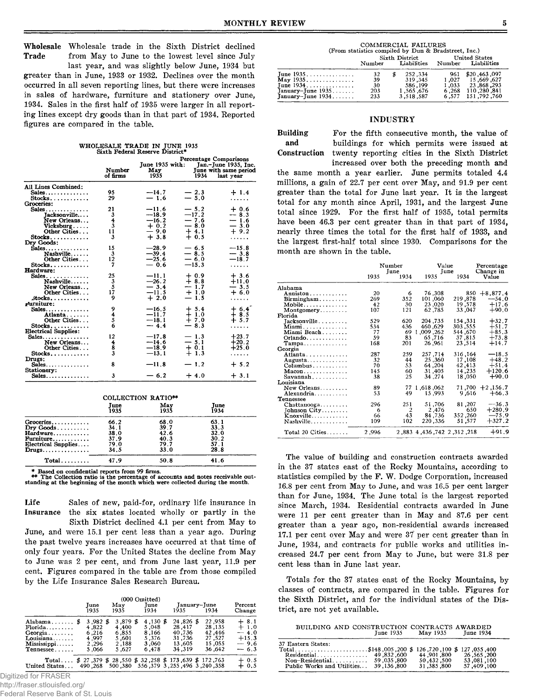Wholesale Wholesale trade in the Sixth District declined<br>Trade from May to June to the lowest level since July from May to June to the lowest level since July

last year, and was slightly below June, 1934 but greater than in June, 1933 or 1932. Declines over the month occurred in all seven reporting lines, but there were increases in sales of hardware, furniture and stationery over June, 1934. Sales in the first half of 1935 were larger in all reporting lines except dry goods than in that part of 1934. Reported figures are compared in the table.

WHOLESALE TRADE IN JUNE 1935 Sixth Federal Reserve District\* entage Comparis

|                                       | Number   | June 1935 with:<br>May |         | Jan.-June 1935, Inc.<br>June with same period |
|---------------------------------------|----------|------------------------|---------|-----------------------------------------------|
|                                       | of firms | 1935                   | 1934    | last vear                                     |
| All Lines Combined:                   |          |                        |         |                                               |
| Sales.                                | 95       | --14.7                 | $-2.3$  | $+1.4$                                        |
| Stocks.                               | 29       | $-1.6$                 | $-5.0$  | .                                             |
| Groceries:                            |          |                        |         |                                               |
| $Sales \ldots \ldots \ldots \ldots$   | 21       | $-11.6$                | $-5.2$  | $+0.6$                                        |
| Jacksonville                          | 3        | $-18.9$                | $-17.2$ | $-8.3$                                        |
| New Orleans                           | 4        | $-16.2$                | — 7.6   | $=$ $\frac{1.6}{3.0}$                         |
| Vicksburg                             | 3        | $+0.2$                 | $-8.0$  |                                               |
| Other Cities                          | 11       | $-9.0$                 | $+4.1$  | $+9.2$                                        |
| $Stocks. \ldots \ldots \ldots \ldots$ | 3        | $+3.8$                 | $+0.5$  | .                                             |
| Drv Goods:                            |          |                        |         |                                               |
| $Sales \ldots \ldots \ldots$          | 15       | $-28.9$                | $-6.5$  | $-15.8$                                       |
| $Nashville \ldots$                    | 3        | $-39.4$                | $-8.5$  | $-3.8$                                        |
| Other Cities                          | 12       | $-25.6$                | $-6.0$  | $-18.7$                                       |
| $Stocks$                              | 7        | $-0.6$                 | $-15.3$ | .                                             |
| Hardware:                             |          |                        |         |                                               |
| Sales                                 | 25       | $-11.1$                | $+0.9$  | $+3.6$                                        |
| $Nashville. \dots$ .                  | 3        | —26.2                  | —† 8.8  | $+11.0$                                       |
| New Orleans                           | 5        | $-3.4$                 | $-1.7$  | $-3.5$                                        |
| Other Cities                          | 17       | $-11.5$                | $+1.0$  | $+6.0$                                        |
| .stocks                               | 9        | $+2.0$                 | — 1.5   | .                                             |
| <i>r</i> urniture:                    |          |                        |         |                                               |
| Sales.                                | 9        | —16.5                  | $+ 5.4$ | $+6.4$                                        |
| Atlanta                               | 4        | $-11.7$                | $+1.0$  | $+8.5$                                        |
| Other Cities                          | 5        | --18.1                 | $+7.0$  | $+5.7$                                        |
| $Stocks$                              | 6        | $-4.4$                 | $-8.3$  | .                                             |
| Electrical Supplies:                  |          |                        |         |                                               |
| Sales                                 | 12       | $-17.8$                | $-1.3$  | $+23.7$                                       |
| New Orleans                           | 4        | --14.6                 | $-5.1$  | $+20.2$                                       |
| Other Cities                          | 8        | $-18.9$                | $+0.1$  | $+25.0$                                       |
| $Stocks$                              | 3        | $-13.1$                | $+1.3$  | .                                             |
| Drugs:                                |          |                        |         |                                               |
| $Sales \ldots \ldots \ldots$          | 8        | $-11.8$                | $-1.2$  | $+ 5.2$                                       |
| <b>Stationery:</b>                    |          |                        |         |                                               |
| Sales.                                | 3        | $-6.2$                 | $+4.0$  | $+3.1$                                        |
|                                       |          |                        |         |                                               |
|                                       |          | COLLECTION RATIO**     |         |                                               |
|                                       | June     | May                    |         | Tune                                          |
|                                       | 1935     | 1935                   |         | 1934                                          |
| $G$ roceries                          | 66.2     | 68.0                   |         | 63.1                                          |
| $\mathbf{Dry}$ Goods                  | 34.1     | 39.7                   |         | 33.3                                          |
| Hardware                              | 38.0     | 42.6                   |         | 32.0                                          |
| Furniture                             | 37.9     | 40.3                   |         | 30.2                                          |
| Electrical Supplies                   | 79.0     | 79.7                   |         | 57.1                                          |
| $Drugs \ldots \ldots \ldots \ldots$   | 34.5     | 33,0                   |         | 28.8                                          |
|                                       |          |                        |         |                                               |

\* Based on confidential reports from 99 firms.

\*\* The Collection ratio is the percentage of accounts and notes receivable out-standing at the beginning of the month which were collected during the month.

T otal................ 47.9 50.8 41.6

Life Sales of new, paid-for, ordinary life insurance in Insurance the six states located wholly or partly in the

Sixth District declined 4.1 per cent from May to June, and were 15.1 per cent less than a year ago. During the past twelve years increases have occurred at that time of only four years. For the United States the decline from May to June was 2 per cent, and from June last year, 11.9 per cent. Figures compared in the table are from those compiled by the Life Insurance Sales Research Bureau.

|                                                                                                      |                                                         |                                                                                                                        | (000 Omitted) |                                                       |      |                                                             |      |                                                          |                                                           |
|------------------------------------------------------------------------------------------------------|---------------------------------------------------------|------------------------------------------------------------------------------------------------------------------------|---------------|-------------------------------------------------------|------|-------------------------------------------------------------|------|----------------------------------------------------------|-----------------------------------------------------------|
|                                                                                                      | June<br>1935                                            | May<br>1935                                                                                                            |               | <b>Tune</b><br>1934                                   | 1935 | January-June                                                | 1934 |                                                          | Percent<br>Change                                         |
| Alabama $\frac{2}{3}$<br>Florida<br>$Georgia \ldots \ldots$<br>Louisiana<br>Mississippi<br>Tennessee | $3,982$ \$<br>4,822<br>6,216<br>4.997<br>2.296<br>5.066 | 3.879 \$<br>4,400<br>6,855<br>5.601<br>2,188<br>5.627                                                                  |               | 4,130 \$<br>5.048<br>8.166<br>5.376<br>3.060<br>6.478 |      | 24.826 \$<br>28.417<br>40.736<br>31.736<br>13.605<br>34.319 |      | 22.958<br>28,135<br>42.446<br>27,527<br>15.055<br>36.642 | $+8.1$<br>$+1.0$<br>$-4.0$<br>$+15.3$<br>$-9.6$<br>$-6.3$ |
| Total<br>United States                                                                               | 490.268                                                 | $$27,379 \text{ } $28,550 \text{ } $32,258 \text{ } $173,639 \text{ } $172,763$<br>500,380 556,379 3 255,496 3 240,358 |               |                                                       |      |                                                             |      |                                                          | 0.5<br>$+0.5$                                             |

Digitized for FRASER

http://fraser.stlouisfed.org/

Federal Reserve Bank of St. Louis

| COMMERCIAL FAILURES<br>(From statistics compiled by Dun & Bradstreet, Inc.)   |                                                                                |                                                              |                       |                                                                                    |  |  |  |  |  |
|-------------------------------------------------------------------------------|--------------------------------------------------------------------------------|--------------------------------------------------------------|-----------------------|------------------------------------------------------------------------------------|--|--|--|--|--|
|                                                                               | Sixth District<br>United States<br>Liabilities Number<br>Liabilities<br>Number |                                                              |                       |                                                                                    |  |  |  |  |  |
| $\mathbf{May} 1935 \dots \dots$<br>January-June $1935$<br>January-June $1934$ | 32<br>39<br>30<br>203<br>233                                                   | 252.334<br>S<br>319.345<br>586,199<br>1.565.676<br>3.518.587 | 961<br>6.268<br>6.577 | \$20,463,097<br>1.027 15.669.627<br>1,033 23,868,293<br>110,280.841<br>151,792,760 |  |  |  |  |  |

#### INDUSTRY

Building For the fifth consecutive month, the value of and buildings for which permits were issued at and buildings for which permits were issued at Construction twenty reporting cities in the Sixth District twenty reporting cities in the Sixth District increased over both the preceding month and the same month a year earlier. June permits totaled 4.4 millions, a gain of 22.7 per cent over May, and 91.9 per cent greater than the total for June last year. It is the largest total for any month since April, 1931, and the largest June total since 1929. For the first half of 1935, total permits have been 46.3 per cent greater than in that part of 1934,

nearly three times the total for the first half of 1933, and the largest first-half total since 1930. Comparisons for the

|                       | Number<br>Tune |                | Value<br>June                   | Percentage<br>Change in |            |
|-----------------------|----------------|----------------|---------------------------------|-------------------------|------------|
|                       | 1935           | 1934           | 1935                            | 1934                    | Value      |
| Alabama               |                |                |                                 |                         |            |
| Anniston              | 20             | 6              | 76.308                          | 850                     | $+8,877,4$ |
| $B$ irmingham         | 269            | 352            | 101,060                         | 219,878                 | $-54.0$    |
| Mobile                | 42             | 30             | 23,020                          | 19.578                  | $+17.6$    |
| $Montromery \ldots$   | 107            | 121            | 62,785                          | 33,047                  | $+90.0$    |
| Florida               |                |                |                                 |                         |            |
| Jacksonville          | 529            | 620            | 204,735                         | 154.331                 | $+32.7$    |
| Miami                 | 534            | 436            | 460,629                         | 303,555                 | $+51.7$    |
| Miami Beach           | 77             | 69             | 1,009.262                       | 544,670                 | $+85.3$    |
| $Orlando$             | 59             | 83             | 65.716                          | 37,815                  | $+73.8$    |
| $Tampa \ldots \ldots$ | 168            | 201            | 26.961                          | 23,514                  | $+14.7$    |
| Georgia               |                |                |                                 |                         |            |
| Atlanta               | 287            | 259            | 257,714                         | 316,164                 | $-18.5$    |
| Augusta               | 32             | 44             | 25,360                          | 17,108                  | $+48.2$    |
|                       | 70             | 53             | 64,204                          | 42,413                  | $+51.4$    |
| Macon.                | 14.5           | 60             | 31.405                          | 14,235                  | $+120.6$   |
|                       | 38             | 25             | 34.274                          | 18,050                  | $+90.0$    |
| Louisiana             |                |                |                                 |                         |            |
| New Orleans           | 89             | 77             | 1.618,062                       | 71,700                  | $+2,156.7$ |
| Alexandria            | 53             | 49             | 15.993                          | 9,616                   | $+66.3$    |
| Tennessee             |                |                |                                 |                         |            |
| $Chattanooga \ldots$  | 296            | 251            | 51,706                          | 81,207                  | $-36.3$    |
| Tohnson City          | 6              | $\overline{c}$ | 2,476                           | 650                     | $+280.9$   |
| $Knoxville$           | 66             | 43             | 84,736                          | 352,260                 | $-75.9$    |
| Nashville             | 109            | 102            | 220,336                         | 51.577                  | $+327.2$   |
| Total $20$ Cities     | 2,996          |                | 218, 312, 312, 436, 436, 436, 2 |                         | $+91.9$    |

The value of building and construction contracts awarded in the 37 states east of the Rocky Mountains, according to statistics compiled by the F. W. Dodge Corporation, increased 16.8 per cent from May to June, and was 16.5 per cent larger than for June, 1934. The June total is the largest reported since March, 1934. Residential contracts awarded in June were 11 per cent greater than in May and 87.6 per cent greater than a year ago, non-residential awards increased 17.1 per cent over May and were 37 per cent greater than in June, 1934, and contracts for public works and utilities increased 24.7 per cent from May to June, but were 31.8 per cent less than in June last year.

Totals for the 37 states east of the Rocky Mountains, by classes of contracts, are compared in the table. Figures for the Sixth District, and for the individual states of the District, are not yet available.

| BUILDING AND CONSTRUCTION CONTRACTS AWARDED                                                                                                   | June 1935 May 1935 June 1934           |                                        |
|-----------------------------------------------------------------------------------------------------------------------------------------------|----------------------------------------|----------------------------------------|
| 37 Eastern States:<br>Total\$148,005,200 \$ 126,720,100 \$ 127,055,400<br>Non-Residential 59.035.800<br>Public Works and Utilities 39,136,800 | 44,901,800<br>50,432,500<br>31,385,800 | 26,565,200<br>53,081,100<br>57,409,100 |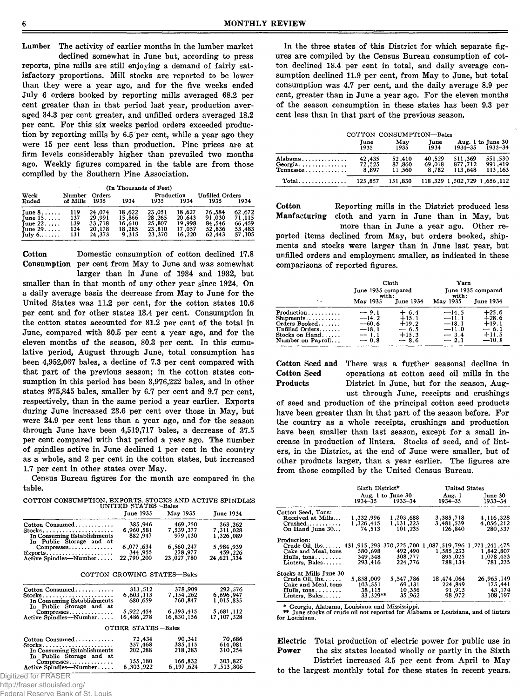Lumber The activity of earlier months in the lumber market

declined somewhat in June but, according to press reports, pine mills are still enjoying a demand of fairly satisfactory proportions. Mill stocks are reported to be lower than they were a year ago, and for the five weeks ended July 6 orders booked by reporting mills averaged 68.2 per cent greater than in that period last year, production averaged 34.3 per cent greater, and unfilled orders averaged 18.2 per cent. For this six weeks period orders exceeded production by reporting mills by 6.5 per cent, while a year ago they were 15 per cent less than production. Pine prices are at firm levels considerably higher than prevailed two months ago. Weekly figures compared in the table are from those compiled by the Southern Pine Association.

|  | (In Thousands of Feet) |  |  |
|--|------------------------|--|--|
|--|------------------------|--|--|

| Week                                      | Number            | Orders                     |                            | Production                 |                            | <b>Unfilled Orders</b>     |                            |  |
|-------------------------------------------|-------------------|----------------------------|----------------------------|----------------------------|----------------------------|----------------------------|----------------------------|--|
| Ended                                     | of Mills          | 1935                       | 1934                       | 1935                       | 1934                       | 1935                       | 1934                       |  |
| $T$ une $8, \ldots$ .<br>Tune $15$        | 119<br>137<br>139 | 24.074<br>29,991<br>33.718 | 18,622<br>15.866<br>16.610 | 23,051<br>28,265<br>25,807 | 18.627<br>20,643<br>19,998 | 76.584<br>91.030<br>84.546 | 62,672<br>71,115<br>66.459 |  |
| Tune $22$<br>Tune $29$<br>July $6 \ldots$ | 124<br>131        | 20.178<br>24,373           | 18,285<br>9,315            | 23.810<br>23.370           | 17.057<br>16.220           | 52,836<br>62.443           | 53,483<br>57,105           |  |

Cotton Domestic consumption of cotton declined 17.8 Consumption per cent from May to June and was somewhat

larger than in June of 1934 and 1932, but smaller than in that month of any other year since 1924. On a daily average basis the decrease from May to June for the United States was 11.2 per cent, for the cotton states 10.6 per cent and for other states 13.4 per cent. Consumption in the cotton states accounted for 81.2 per cent of the total in June, compared with 80.5 per cent a year ago, and for the eleven months of the season, 80.3 per cent. In this cumulative period, August through June, total consumption has been 4,952,067 bales, a decline of 7.3 per cent compared with that part of the previous season; in the cotton states consumption in this period has been 3,976,222 bales, and in other states 975,845 bales, smaller by 6.7 per cent and 9.7 per cent, respectively, than in the same period a year earlier. Exports during June increased 23.6 per cent over those in May, but were 24.9 per cent less than a year ago, and for the season through June have been 4,519,717 bales, a decrease of 37.5 per cent compared with that period a year ago. The number of spindles active in June declined 1 per cent in the country as a whole, and 2 per cent in the cotton states, but increased 1.7 per cent in other states over May.

Census Bureau figures for the month are compared in the table.

COTTON CONSUMPTION, EXPORTS, STOCKS AND ACTIVE SPINDLES UNITED STATES—Bales

|                                                         | June 1935  | May 1935   | <b>June 1934</b> |
|---------------------------------------------------------|------------|------------|------------------|
| Cotton Consumed                                         | 385.946    | 469.250    | 363,262          |
| $Stocks$                                                | 6,960,581  | 7.539.377  | 7,311,028        |
| In Consuming Establishments<br>In Public Storage and at | 882.947    | 979.130    | 1,326,089        |
| Compresses                                              | 6.077.634  | 6,560,247  | 5,984,939        |
| $Exports \ldots \ldots \ldots \ldots \ldots \ldots$     | 344,955    | 278,977    | 459,226          |
| Active Spindles-Number                                  | 22,790,200 | 23,027,780 | 24,621,334       |
|                                                         |            |            |                  |

COTTON GROWING STATES—Bales

| Cotton Consumed                                         | 313,512            | 378,909     | 292,576    |
|---------------------------------------------------------|--------------------|-------------|------------|
| $Stocks$                                                | 6,603,113          | 7, 154, 262 | 6.696.947  |
| In Consuming Establishments<br>In Public Storage and at | 680.659            | 760.847     | 1,015,835  |
| $Compresses \ldots \ldots$                              | 5,922,454          | 6.393.415   | 5,681,112  |
| Active Spindles-Number                                  | 16,486,278         | 16,830,156  | 17,107,528 |
|                                                         | OTHER STATES-Bales |             |            |
| Cotton Consumed                                         | 72,434             | 90.341      | 70.686     |
| $Stocks$                                                | 357,468            | 385.115     | 614.081    |
| In Consuming Establishments<br>In Public Storage and at | 202,288            | 218,283     | 310,254    |
| $Compresses. \ldots \ldots \ldots$                      | 155,180            | 166,832     | 303,827    |
| Active Spindles-Number                                  | 6,303,922          | 6,197,624   | 7.513.806  |

Digitized for FRASER

http://fraser.stlouisfed.org/

Federal Reserve Bank of St. Louis

In the three states of this District for which separate figures are compiled by the Census Bureau consumption of cotton declined 18.4 per cent in total, and daily average consumption declined 11.9 per cent, from May to June, but total consumption was 4.7 per cent, and the daily average 8.9 per cent, greater than in June a year ago. For the eleven months of the season consumption in these states has been 9.3 per cent less than in that part of the previous season.

|                                       |                           | COTTON CONSUMPTION-Bales   |                           |                                       |                                              |
|---------------------------------------|---------------------------|----------------------------|---------------------------|---------------------------------------|----------------------------------------------|
|                                       | June<br>1935              | May<br>1935                | Tune<br>1934              |                                       | Aug. 1 to June 30<br>$1934 - 35$ $1933 - 34$ |
| Alabama,<br>Tennessee                 | 42,435<br>72,525<br>8,897 | 52,410<br>87,860<br>11.560 | 40,529<br>69,018<br>8,782 | 511,369<br>877,712<br>113.648         | 551,530<br>991,419<br>113,163                |
| $Total \dots \dots \dots \dots \dots$ | 123.857                   | 151.830                    |                           | 112, 656, 1 29, 729, 1502, 1 329, 118 |                                              |

Cotton Reporting mills in the District produced less cloth and yarn in June than in May, but more than in June a year ago. Other reported items declined from May, but orders booked, shipments and stocks were larger than in June last year, but unfilled orders and employment smaller, as indicated in these comparisons of reported figures.

|                                                                                                                                           | June 1935 compared<br>with:                                   | Cloth                                                        | Yarn<br>with:                                                | June 1935 compared                                            |
|-------------------------------------------------------------------------------------------------------------------------------------------|---------------------------------------------------------------|--------------------------------------------------------------|--------------------------------------------------------------|---------------------------------------------------------------|
| $\mathbf{v}_{\text{in}}$                                                                                                                  | May 1935                                                      | <b>June 1934</b>                                             | May 1935                                                     | <b>Tune 1934</b>                                              |
| $Production \dots \dots$<br>$Shipments \ldots \ldots \ldots$<br>Orders Booked<br>Unfilled Orders<br>Stocks on $Hand$<br>Number on Payroll | $-9.1$<br>$-14.2$<br>$-60.6$<br>$-18.1$<br>$-- 1.1$<br>$-0.8$ | $+ 6.4$<br>$+15.1$<br>$+19.2$<br>$-6.5$<br>$+15.3$<br>$-8.6$ | $-14.5$<br>$-11.1$<br>$-18.1$<br>$-11.0$<br>$-3.4$<br>$-2.1$ | $+25.6$<br>$+28.6$<br>$+19.1$<br>$-6.1$<br>$+11.5$<br>$-10.8$ |

Cotton Seed and There was a further seasonal decline in Cotton Seed operations at cotton seed oil mills in the District in June, but for the season, Aug-

ust through June, receipts and crushings of seed and production of the principal cotton seed products have been greater than in that part of the season before. For the country as a whole receipts, crushings and production have been smaller than last season, except for a small increase in production of linters. Stocks of seed, and of linters, in the District, at the end of June were smaller, but of other products larger, than a year earlier. The figures are from those compiled by the United Census Bureau.

|                                                     | Sixth District* |                                          | <b>United States</b> |                        |
|-----------------------------------------------------|-----------------|------------------------------------------|----------------------|------------------------|
|                                                     |                 | Aug. 1 to June 30<br>$1934 - 35$ 1933-34 | Aug. 1<br>1934–35    | Tune 30<br>$1933 - 34$ |
| Cotton Seed, Tons:                                  |                 |                                          |                      |                        |
| Received at Mills                                   | 1,332,996       | 1.203.688                                | 3,385,718            | 4.116.328              |
| $Crushed$                                           | 1.326.415       | 1.131.223                                | 3.481.539            | 4.056.212              |
| On Hand June 30                                     | 74.513          | 101,235                                  | 126,840              | 280,537                |
| Production:                                         |                 |                                          |                      |                        |
| 700, 225, 370 293, 915, 431, 293 Crude Oil, 1bs 431 |                 |                                          | ,087, 199, 087,<br>1 | 1,271,241,475          |
| Cake and Meal, tons                                 | 580.698         | 492,490                                  | 1,585,233            | 1,842,807              |
| Hulls, $tons.$                                      | 349.548         | 308.777                                  | 895.025              | 1,078,453              |
| Linters, Bales                                      | 293.416         | 224.776                                  | 788.134              | 781.235                |
| Stocks at Mills June 30                             |                 |                                          |                      |                        |
| Crude Oil. 1bs.                                     | 5.858.009       | 5,547,786                                | 18, 474, 064         | 26.965.149             |
| Cake and Meal, tons                                 | 103,551         | 69,131                                   | 224.849              | 175.441                |
| Hulls, $tons \ldots \ldots$                         | 38,115          | 10.336                                   | 91.915               | 43,174                 |
| Linters, Bales                                      | 33,329**        | 35.962                                   | 98,972               | 108,197                |

\* Georgia, Alabama, Louisiana and Mississippi. \*\* June stocks of crude oil not reported for Alabama or Louisiana, and of linters for Louisiana.

Electric Total production of electric power for public use in Power the six states located wholly or partly in the Sixth

District increased 3.5 per cent from April to May to the largest monthly total for these states in recent years.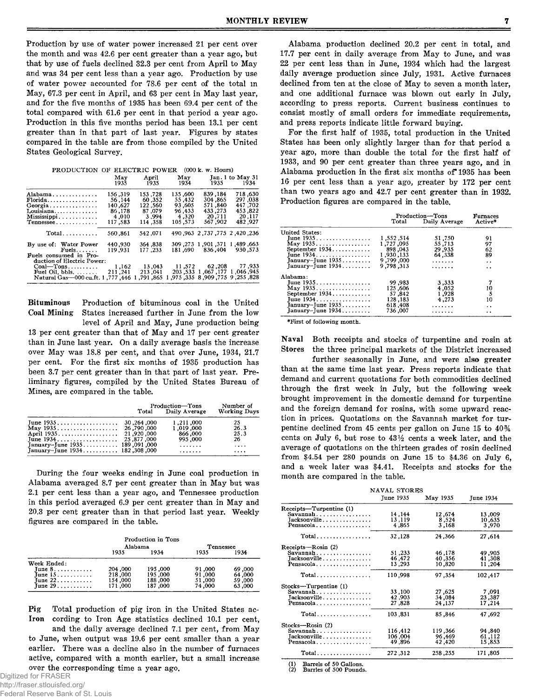Production by use of water power increased 21 per cent over the month and was 42.6 per cent greater than a year ago, but that by use of fuels declined 32.3 per cent from April to May and was 34 per cent less than a year ago. Production by use of water power accounted for 78.6 per cent of the total in May, 67.3 per cent in April, and 63 per cent in May last year, and for the five months of 1935 has been 69.4 per cent of the total compared with 61.6 per cent in that period a year ago. Production in this five months period has been 13.1 per cent greater than in that part of last year. Figures by states compared in the table are from those compiled by the United States Geological Survey.

| PRODUCTION OF ELECTRIC POWER (000 k. w. Hours)                                          |                                                            |                                                            |                                                           |                                                                                         |                                                               |
|-----------------------------------------------------------------------------------------|------------------------------------------------------------|------------------------------------------------------------|-----------------------------------------------------------|-----------------------------------------------------------------------------------------|---------------------------------------------------------------|
|                                                                                         | May<br>1935                                                | April<br>1935                                              | 1934                                                      | May Jan. 1 to May 31<br>1935                                                            | 1934                                                          |
| Alabama<br>Florida.<br>Louisiana<br>Mississippi<br>$T$ ennessee                         | 156.319<br>56.144<br>140.627<br>86,178<br>4,010<br>117,583 | 153,728<br>60.352<br>122,560<br>87.079<br>3.994<br>114.358 | 135.600<br>55.432<br>93.605<br>96.433<br>4.320<br>105.573 | 839, 184<br>304,865<br>571.840<br>433,273<br>20.711<br>567.902                          | 718.630<br>297,038<br>447,702<br>453,822<br>20,117<br>482.927 |
| Total                                                                                   | 560.861                                                    | 542.071                                                    |                                                           | 490, 963, 775, 775, 777, 963                                                            |                                                               |
| By use of: Water Power<br>Fuels<br>Fuels consumed in Pro-<br>duction of Electric Power: | 440.930<br>119.931                                         | 364, 364<br>177,233                                        |                                                           | 309.273 1.901.371<br>181.690 836.404                                                    | 1,489,663<br>930,573                                          |
| $Coal$ -Tons<br>Fuel Oil, bbls. $\dots$<br>.446. 777. Natural Gas—000 cu.ft. 1          | 1,162<br>211,241                                           | 13,043<br>213,041<br>.791.865                              |                                                           | 11,572 62,208 77,933<br>203.533 1.067.177 1.046.945<br>.975 .335 .8 .909 .775 .255 .828 |                                                               |

Bituminous Production of bituminous coal in the United Coal Mining States increased further in June from the low States increased further in June from the low level of April and May, June production being 13 per cent greater than that of May and 17 per cent greater

than in June last year. On a daily average basis the increase over May was 18.8 per cent, and that over June, 1934, 21.7 per cent. For the first six months of 1935 production has been 3.7 per cent greater than in that part of last year. Preliminary figures, compiled by the United States Bureau of Mines, are compared in the table.

|                                   | Production-Tons<br>Total Daily Average            | Number of<br><b>Working Davs</b> |
|-----------------------------------|---------------------------------------------------|----------------------------------|
|                                   | 1,211,000<br>1,019,000<br>866,000<br>995,000<br>. | 25<br>26.3<br>25.3<br>26<br>     |
| January-June $1934$ 182, 308, 000 | .                                                 | $\cdots$                         |

During the four weeks ending in June coal production in Alabama averaged 8.7 per cent greater than in May but was 2.1 per cent less than a year ago, and Tennessee production in this period averaged 6.9 per cent greater than in May and 20.3 per cent greater than in that period last year. Weekly figures are compared in the table.

|                                | Alabama | Production in Tons | Tennessee |        |
|--------------------------------|---------|--------------------|-----------|--------|
|                                | 1935    | 1934               | 1935      | 1934   |
| Week Ended:                    |         |                    |           |        |
| June $8. \ldots \ldots \ldots$ | 204,000 | 195,000            | 91,000    | 69,000 |
| June $15.7.7.7.7.7.7.7$        | 218,000 | 195,000            | 91,000    | 64,000 |
| June $22$                      | 154,000 | 188,000            | 51,000    | 59,000 |
| June $29 \ldots$               | 171.000 | 187,000            | 74,000    | 63,000 |

Pig Total production of pig iron in the United States ac-Iron cording to Iron Age statistics declined 10.1 per cent,

and the daily average declined 7.1 per cent, from May to June, when output was 19.6 per cent smaller than a year earlier. There was a decline also in the number of furnaces active, compared with a month earlier, but a small increase over the corresponding time a year ago.

Alabama production declined 20.2 per cent in total, and 17.7 per cent in daily average from May to June, and was 22 per cent less than in June, 1934 which had the largest daily average production since July, 1931. Active furnaces declined from ten at the close of May to seven a month later, and one additional furnace was blown out early in July, according to press reports. Current business continues to consist mostly of small orders for immediate requirements, and press reports indicate little forward buying.

For the first half of 1935, total production in the United States has been only slightly larger than for that period a year ago, more than double the total for the first half of 1933, and 90 per cent greater than three years ago, and in Alabama production in the first six months of\* 1935 has been 16 per cent less than a year ago, greater by 172 per cent than two years ago and 42.7 per cent greater than in 1932. Production figures are compared in the table.

|                        | Production—Tons<br>Total Daily Average | <b>Furnaces</b><br>Active* |                      |
|------------------------|----------------------------------------|----------------------------|----------------------|
| United States:         |                                        |                            |                      |
| Tune 1935              | 1.552.514                              | 51,750                     | 91                   |
| May 1935               | 1.727.095                              | 55,713                     | 97                   |
| September 1934         | 898,043                                | 29.935                     | 62                   |
| Tune 1934.             | 1,930,133                              | 64.338                     | 89                   |
| January-June $1935$    | 9,799,000                              | .                          | $\ddot{\phantom{0}}$ |
| $January$ -June $1934$ | 9.798.313                              | .                          | $\ddot{\phantom{0}}$ |
| Alahama:               |                                        |                            |                      |
| Tune 1935.             | 99,983                                 | 3.333                      |                      |
| May 1935               | 125,606                                | 4.052                      |                      |
| September 1934         | 57.842                                 | 1.928                      | 10<br>5              |
| June 1934.             | 128, 183                               | 4.273                      | 10                   |
| January-June $1935$    | 618,408                                | .                          | . .                  |
| January-June 1934      | 736.007                                | .                          | $\cdot$ .            |

♦First of following month.

Naval Both receipts and stocks of turpentine and rosin at Stores the three principal markets of the District increased

further seasonally in June, and were also greater than at the same time last year. Press reports indicate that demand and current quotations for both commodities declined through the first week in July, but the following week brought improvement in the domestic demand for turpentine and the foreign demand for rosins, with some upward reaction in prices. Quotations on the Savannah market for turpentine declined from 45 cents per gallon on June 15 to 40% cents on July 6, but rose to  $43\frac{1}{2}$  cents a week later, and the average of quotations on the thirteen grades of rosin declined from \$4.54 per 280 pounds on June 15 to \$4.36 on July 6, and a week later was \$4.41. Receipts and stocks for the month are compared in the table.

|                                             | NAVAL STORES |          |           |  |
|---------------------------------------------|--------------|----------|-----------|--|
|                                             | June 1935    | May 1935 | June 1934 |  |
| Receipts—Turpentine (1)                     |              |          |           |  |
| Savannah                                    | 14,144       | 12.674   | 13.009    |  |
| Jacksonville.                               | 13,119       | 8,524    | 10,635    |  |
| Pensacola                                   | 4,865        | 3,168    | 3,970     |  |
| Total                                       | 32,128       | 24,366   | 27,614    |  |
| Receipts-Rosin (2)                          |              |          |           |  |
| Savannah                                    | 51,233       | 46,178   | 49,905    |  |
| Jacksonville                                | 46,472       | 40,356   | 41,308    |  |
| Pensacola                                   | 13.293       | 10,820   | 11,204    |  |
| $Total$                                     | 110,998      | 97.354   | 102,417   |  |
| Stocks-Turpentine (1)                       |              |          |           |  |
| Savannah                                    | 33,100       | 27,625   | 7,091     |  |
| Jacksonville                                | 42,903       | 34,084   | 23,387    |  |
| Pensacola                                   | 27,828       | 24,137   | 17,214    |  |
| $Total \dots \dots \dots \dots \dots \dots$ | 103,831      | 85,846   | 47,692    |  |
| Stocks-Rosin (2)                            |              |          |           |  |
| Savannah                                    | 116,412      | 119,366  | 94,840    |  |
| Jacksonville                                | 106,004      | 96,469   | 61,112    |  |
| Pensacola                                   | 49,896       | 42,420   | 15,853    |  |
| $Total \dots \dots \dots \dots \dots$       | 272,312      | 258, 255 | 171,805   |  |

(1) Barrels of 50 Gallons. (2) Barries of 500 Pounds.